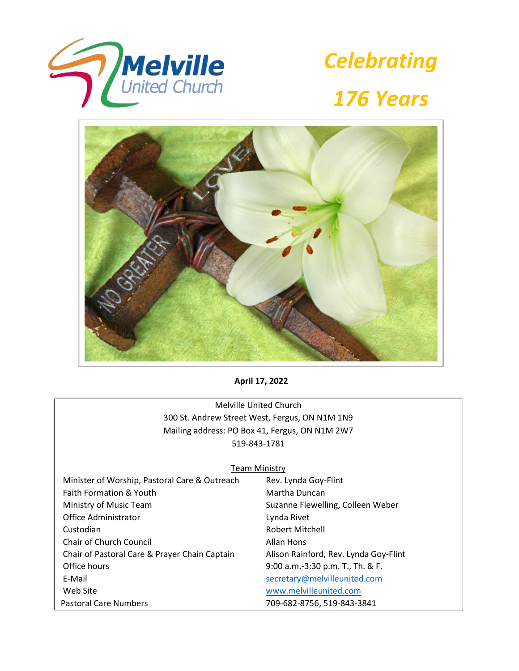





**April 17, 2022**

Melville United Church 300 St. Andrew Street West, Fergus, ON N1M 1N9 Mailing address: PO Box 41, Fergus, ON N1M 2W7 519-843-1781

## **Team Ministry**

| Minister of Worship, Pastoral Care & Outreach | Rev. Lynda Goy-Flint                  |
|-----------------------------------------------|---------------------------------------|
| <b>Faith Formation &amp; Youth</b>            | Martha Duncan                         |
| Ministry of Music Team                        | Suzanne Flewelling, Colleen Weber     |
| Office Administrator                          | Lynda Rivet                           |
| Custodian                                     | Robert Mitchell                       |
| Chair of Church Council                       | Allan Hons                            |
| Chair of Pastoral Care & Prayer Chain Captain | Alison Rainford, Rev. Lynda Goy-Flint |
| Office hours                                  | 9:00 a.m.-3:30 p.m. T., Th. & F.      |
| E-Mail                                        | secretary@melvilleunited.com          |
| Web Site                                      | www.melvilleunited.com                |
| <b>Pastoral Care Numbers</b>                  | 709-682-8756, 519-843-3841            |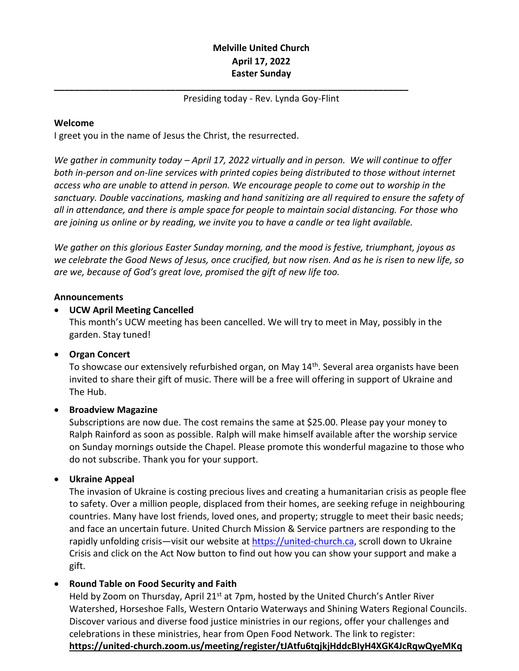# **Melville United Church April 17, 2022 Easter Sunday**

# Presiding today - Rev. Lynda Goy-Flint

**\_\_\_\_\_\_\_\_\_\_\_\_\_\_\_\_\_\_\_\_\_\_\_\_\_\_\_\_\_\_\_\_\_\_\_\_\_\_\_\_\_\_\_\_\_\_\_\_\_\_\_\_\_\_\_\_\_\_\_\_\_\_\_\_\_\_\_\_\_\_**

# **Welcome**

I greet you in the name of Jesus the Christ, the resurrected.

*We gather in community today – April 17, 2022 virtually and in person. We will continue to offer both in-person and on-line services with printed copies being distributed to those without internet access who are unable to attend in person. We encourage people to come out to worship in the sanctuary. Double vaccinations, masking and hand sanitizing are all required to ensure the safety of all in attendance, and there is ample space for people to maintain social distancing. For those who are joining us online or by reading, we invite you to have a candle or tea light available.*

*We gather on this glorious Easter Sunday morning, and the mood is festive, triumphant, joyous as we celebrate the Good News of Jesus, once crucified, but now risen. And as he is risen to new life, so are we, because of God's great love, promised the gift of new life too.*

# **Announcements**

# • **UCW April Meeting Cancelled**

This month's UCW meeting has been cancelled. We will try to meet in May, possibly in the garden. Stay tuned!

# • **Organ Concert**

To showcase our extensively refurbished organ, on May 14<sup>th</sup>. Several area organists have been invited to share their gift of music. There will be a free will offering in support of Ukraine and The Hub.

# • **Broadview Magazine**

Subscriptions are now due. The cost remains the same at \$25.00. Please pay your money to Ralph Rainford as soon as possible. Ralph will make himself available after the worship service on Sunday mornings outside the Chapel. Please promote this wonderful magazine to those who do not subscribe. Thank you for your support.

# • **Ukraine Appeal**

The invasion of Ukraine is costing precious lives and creating a humanitarian crisis as people flee to safety. Over a million people, displaced from their homes, are seeking refuge in neighbouring countries. Many have lost friends, loved ones, and property; struggle to meet their basic needs; and face an uncertain future. United Church Mission & Service partners are responding to the rapidly unfolding crisis—visit our website at [https://united-church.ca,](https://united-church.ca/) scroll down to Ukraine Crisis and click on the Act Now button to find out how you can show your support and make a gift.

# • **Round Table on Food Security and Faith**

Held by Zoom on Thursday, April 21<sup>st</sup> at 7pm, hosted by the United Church's Antler River Watershed, Horseshoe Falls, Western Ontario Waterways and Shining Waters Regional Councils. Discover various and diverse food justice ministries in our regions, offer your challenges and celebrations in these ministries, hear from Open Food Network. The link to register: **<https://united-church.zoom.us/meeting/register/tJAtfu6tqjkjHddcBIyH4XGK4JcRqwQyeMKq>**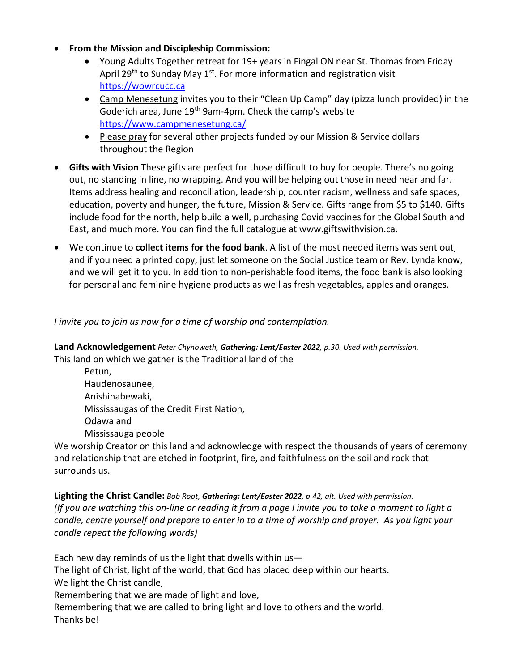- **From the Mission and Discipleship Commission:**
	- Young Adults Together retreat for 19+ years in Fingal ON near St. Thomas from Friday April 29<sup>th</sup> to Sunday May 1<sup>st</sup>. For more information and registration visit [https://wowrcucc.ca](https://wowrcucc.ca/)
	- Camp Menesetung invites you to their "Clean Up Camp" day (pizza lunch provided) in the Goderich area, June 19<sup>th</sup> 9am-4pm. Check the camp's website <https://www.campmenesetung.ca/>
	- Please pray for several other projects funded by our Mission & Service dollars throughout the Region
- **Gifts with Vision** These gifts are perfect for those difficult to buy for people. There's no going out, no standing in line, no wrapping. And you will be helping out those in need near and far. Items address healing and reconciliation, leadership, counter racism, wellness and safe spaces, education, poverty and hunger, the future, Mission & Service. Gifts range from \$5 to \$140. Gifts include food for the north, help build a well, purchasing Covid vaccines for the Global South and East, and much more. You can find the full catalogue at www.giftswithvision.ca.
- We continue to **collect items for the food bank**. A list of the most needed items was sent out, and if you need a printed copy, just let someone on the Social Justice team or Rev. Lynda know, and we will get it to you. In addition to non-perishable food items, the food bank is also looking for personal and feminine hygiene products as well as fresh vegetables, apples and oranges.

# *I invite you to join us now for a time of worship and contemplation.*

**Land Acknowledgement** *Peter Chynoweth, Gathering: Lent/Easter 2022, p.30. Used with permission.* This land on which we gather is the Traditional land of the

Petun, Haudenosaunee, Anishinabewaki, Mississaugas of the Credit First Nation, Odawa and Mississauga people

We worship Creator on this land and acknowledge with respect the thousands of years of ceremony and relationship that are etched in footprint, fire, and faithfulness on the soil and rock that surrounds us.

**Lighting the Christ Candle:** *Bob Root, Gathering: Lent/Easter 2022, p.42, alt. Used with permission. (If you are watching this on-line or reading it from a page I invite you to take a moment to light a candle, centre yourself and prepare to enter in to a time of worship and prayer. As you light your candle repeat the following words)*

Each new day reminds of us the light that dwells within us— The light of Christ, light of the world, that God has placed deep within our hearts. We light the Christ candle, Remembering that we are made of light and love, Remembering that we are called to bring light and love to others and the world. Thanks be!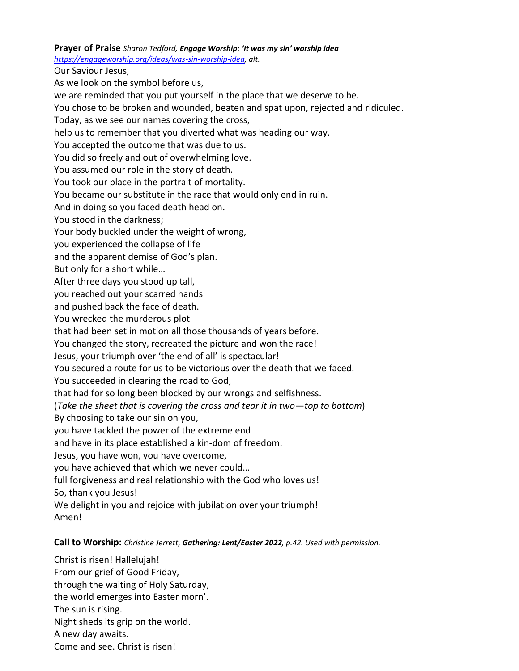### **Prayer of Praise** *Sharon Tedford, Engage Worship: 'It was my sin' worship idea*

*[https://engageworship.org/ideas/was-sin-worship-idea,](https://engageworship.org/ideas/was-sin-worship-idea) alt.*

Our Saviour Jesus,

As we look on the symbol before us,

we are reminded that you put yourself in the place that we deserve to be.

You chose to be broken and wounded, beaten and spat upon, rejected and ridiculed.

Today, as we see our names covering the cross,

help us to remember that you diverted what was heading our way.

You accepted the outcome that was due to us.

You did so freely and out of overwhelming love.

You assumed our role in the story of death.

You took our place in the portrait of mortality.

You became our substitute in the race that would only end in ruin.

And in doing so you faced death head on.

You stood in the darkness;

Your body buckled under the weight of wrong,

you experienced the collapse of life

and the apparent demise of God's plan.

But only for a short while…

After three days you stood up tall,

you reached out your scarred hands

and pushed back the face of death.

You wrecked the murderous plot

that had been set in motion all those thousands of years before.

You changed the story, recreated the picture and won the race!

Jesus, your triumph over 'the end of all' is spectacular!

You secured a route for us to be victorious over the death that we faced.

You succeeded in clearing the road to God,

that had for so long been blocked by our wrongs and selfishness.

(*Take the sheet that is covering the cross and tear it in two—top to bottom*)

By choosing to take our sin on you,

you have tackled the power of the extreme end

and have in its place established a kin-dom of freedom.

Jesus, you have won, you have overcome,

you have achieved that which we never could…

full forgiveness and real relationship with the God who loves us!

So, thank you Jesus!

We delight in you and rejoice with jubilation over your triumph! Amen!

# **Call to Worship:** *Christine Jerrett, Gathering: Lent/Easter 2022, p.42. Used with permission.*

Christ is risen! Hallelujah! From our grief of Good Friday, through the waiting of Holy Saturday, the world emerges into Easter morn'. The sun is rising. Night sheds its grip on the world. A new day awaits. Come and see. Christ is risen!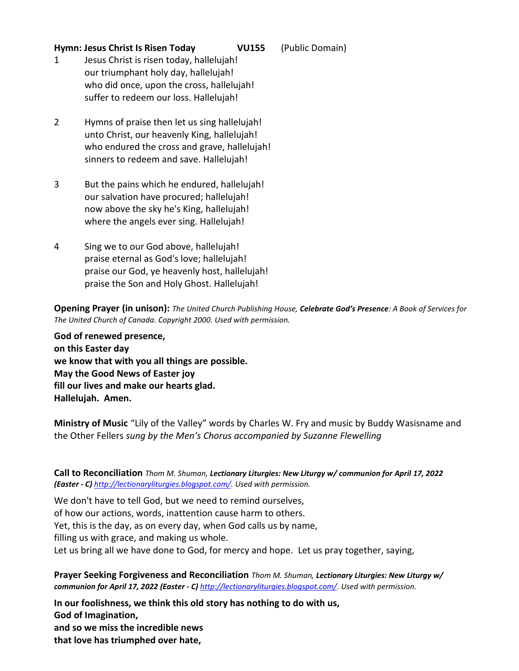## **Hymn: Jesus Christ Is Risen Today VU155** (Public Domain)

- 1 Jesus Christ is risen today, hallelujah! our triumphant holy day, hallelujah! who did once, upon the cross, hallelujah! suffer to redeem our loss. Hallelujah!
- 2 Hymns of praise then let us sing hallelujah! unto Christ, our heavenly King, hallelujah! who endured the cross and grave, hallelujah! sinners to redeem and save. Hallelujah!
- 3 But the pains which he endured, hallelujah! our salvation have procured; hallelujah! now above the sky he's King, hallelujah! where the angels ever sing. Hallelujah!
- 4 Sing we to our God above, hallelujah! praise eternal as God's love; hallelujah! praise our God, ye heavenly host, hallelujah! praise the Son and Holy Ghost. Hallelujah!

**Opening Prayer (in unison):** *The United Church Publishing House, Celebrate God's Presence: A Book of Services for The United Church of Canada. Copyright 2000. Used with permission.*

**God of renewed presence, on this Easter day we know that with you all things are possible. May the Good News of Easter joy fill our lives and make our hearts glad. Hallelujah. Amen.**

**Ministry of Music** "Lily of the Valley" words by Charles W. Fry and music by Buddy Wasisname and the Other Fellers *sung by the Men's Chorus accompanied by Suzanne Flewelling*

**Call to Reconciliation** *Thom M. Shuman, Lectionary Liturgies: New Liturgy w/ communion for April 17, 2022 (Easter - C) [http://lectionaryliturgies.blogspot.com/.](http://lectionaryliturgies.blogspot.com/) Used with permission.*

We don't have to tell God, but we need to remind ourselves, of how our actions, words, inattention cause harm to others. Yet, this is the day, as on every day, when God calls us by name, filling us with grace, and making us whole. Let us bring all we have done to God, for mercy and hope. Let us pray together, saying,

**Prayer Seeking Forgiveness and Reconciliation** *Thom M. Shuman, Lectionary Liturgies: New Liturgy w/ communion for April 17, 2022 (Easter - C) [http://lectionaryliturgies.blogspot.com/.](http://lectionaryliturgies.blogspot.com/) Used with permission.*

**In our foolishness, we think this old story has nothing to do with us, God of Imagination, and so we miss the incredible news that love has triumphed over hate,**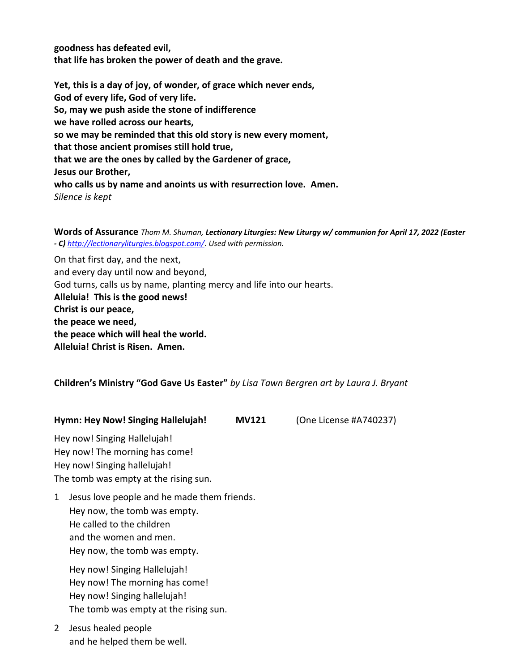**goodness has defeated evil, that life has broken the power of death and the grave.**

**Yet, this is a day of joy, of wonder, of grace which never ends, God of every life, God of very life. So, may we push aside the stone of indifference we have rolled across our hearts, so we may be reminded that this old story is new every moment, that those ancient promises still hold true, that we are the ones by called by the Gardener of grace, Jesus our Brother, who calls us by name and anoints us with resurrection love. Amen.** *Silence is kept*

**Words of Assurance** *Thom M. Shuman, Lectionary Liturgies: New Liturgy w/ communion for April 17, 2022 (Easter - C) [http://lectionaryliturgies.blogspot.com/.](http://lectionaryliturgies.blogspot.com/) Used with permission.*

On that first day, and the next, and every day until now and beyond, God turns, calls us by name, planting mercy and life into our hearts. **Alleluia! This is the good news! Christ is our peace, the peace we need, the peace which will heal the world. Alleluia! Christ is Risen. Amen.**

# **Children's Ministry "God Gave Us Easter"** *by Lisa Tawn Bergren art by Laura J. Bryant*

#### **Hymn: Hey Now! Singing Hallelujah! MV121** (One License #A740237)

Hey now! Singing Hallelujah! Hey now! The morning has come! Hey now! Singing hallelujah! The tomb was empty at the rising sun.

1 Jesus love people and he made them friends. Hey now, the tomb was empty. He called to the children and the women and men. Hey now, the tomb was empty.

Hey now! Singing Hallelujah! Hey now! The morning has come! Hey now! Singing hallelujah! The tomb was empty at the rising sun.

2 Jesus healed people and he helped them be well.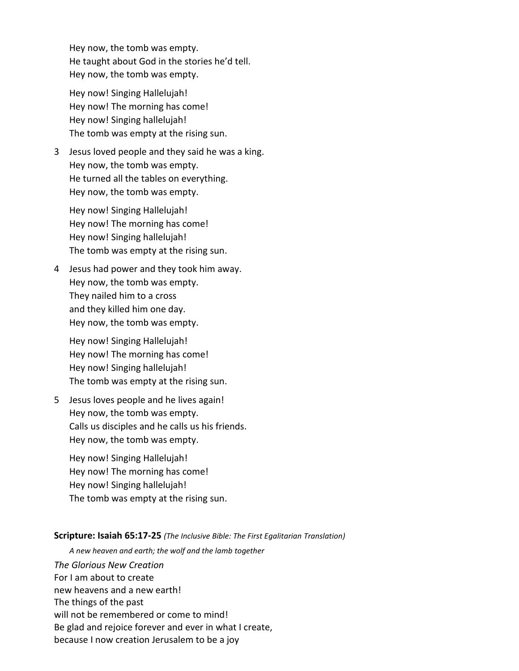Hey now, the tomb was empty. He taught about God in the stories he'd tell. Hey now, the tomb was empty.

Hey now! Singing Hallelujah! Hey now! The morning has come! Hey now! Singing hallelujah! The tomb was empty at the rising sun.

3 Jesus loved people and they said he was a king. Hey now, the tomb was empty. He turned all the tables on everything. Hey now, the tomb was empty.

Hey now! Singing Hallelujah! Hey now! The morning has come! Hey now! Singing hallelujah! The tomb was empty at the rising sun.

4 Jesus had power and they took him away. Hey now, the tomb was empty. They nailed him to a cross and they killed him one day. Hey now, the tomb was empty.

Hey now! Singing Hallelujah! Hey now! The morning has come! Hey now! Singing hallelujah! The tomb was empty at the rising sun.

5 Jesus loves people and he lives again! Hey now, the tomb was empty. Calls us disciples and he calls us his friends. Hey now, the tomb was empty.

Hey now! Singing Hallelujah! Hey now! The morning has come! Hey now! Singing hallelujah! The tomb was empty at the rising sun.

#### **Scripture: Isaiah 65:17-25** *(The Inclusive Bible: The First Egalitarian Translation)*

*A new heaven and earth; the wolf and the lamb together*

*The Glorious New Creation* For I am about to create new heavens and a new earth! The things of the past will not be remembered or come to mind! Be glad and rejoice forever and ever in what I create, because I now creation Jerusalem to be a joy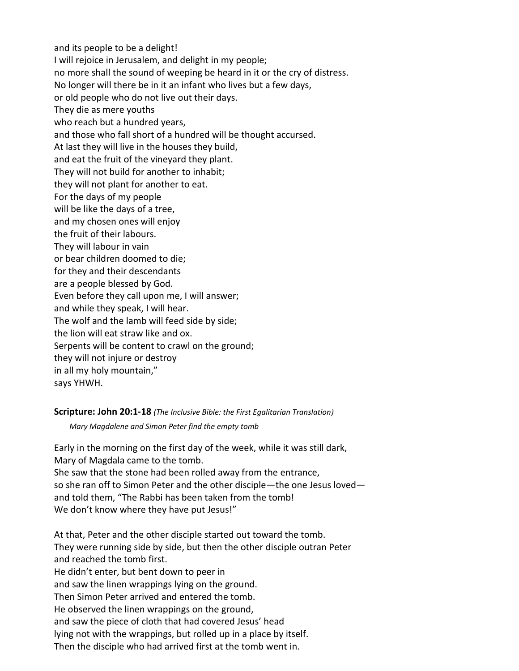and its people to be a delight! I will rejoice in Jerusalem, and delight in my people; no more shall the sound of weeping be heard in it or the cry of distress. No longer will there be in it an infant who lives but a few days, or old people who do not live out their days. They die as mere youths who reach but a hundred years, and those who fall short of a hundred will be thought accursed. At last they will live in the houses they build, and eat the fruit of the vineyard they plant. They will not build for another to inhabit; they will not plant for another to eat. For the days of my people will be like the days of a tree, and my chosen ones will enjoy the fruit of their labours. They will labour in vain or bear children doomed to die; for they and their descendants are a people blessed by God. Even before they call upon me, I will answer; and while they speak, I will hear. The wolf and the lamb will feed side by side; the lion will eat straw like and ox. Serpents will be content to crawl on the ground; they will not injure or destroy in all my holy mountain," says YHWH.

**Scripture: John 20:1-18** *(The Inclusive Bible: the First Egalitarian Translation)*

*Mary Magdalene and Simon Peter find the empty tomb*

Early in the morning on the first day of the week, while it was still dark, Mary of Magdala came to the tomb.

She saw that the stone had been rolled away from the entrance, so she ran off to Simon Peter and the other disciple—the one Jesus loved and told them, "The Rabbi has been taken from the tomb! We don't know where they have put Jesus!"

At that, Peter and the other disciple started out toward the tomb. They were running side by side, but then the other disciple outran Peter and reached the tomb first. He didn't enter, but bent down to peer in and saw the linen wrappings lying on the ground. Then Simon Peter arrived and entered the tomb. He observed the linen wrappings on the ground, and saw the piece of cloth that had covered Jesus' head lying not with the wrappings, but rolled up in a place by itself. Then the disciple who had arrived first at the tomb went in.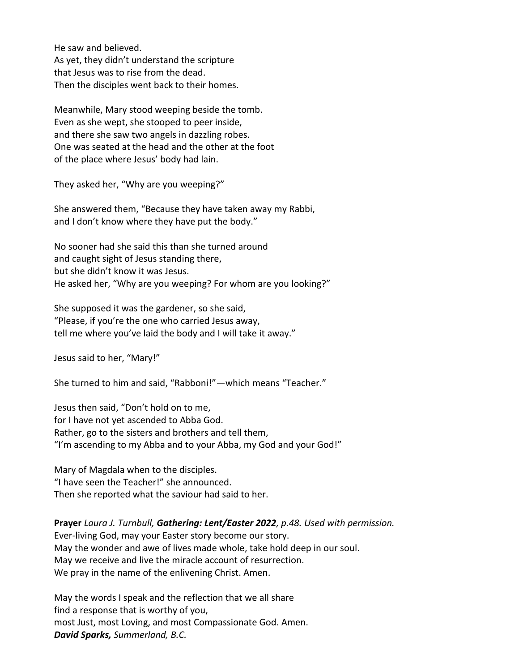He saw and believed. As yet, they didn't understand the scripture that Jesus was to rise from the dead. Then the disciples went back to their homes.

Meanwhile, Mary stood weeping beside the tomb. Even as she wept, she stooped to peer inside, and there she saw two angels in dazzling robes. One was seated at the head and the other at the foot of the place where Jesus' body had lain.

They asked her, "Why are you weeping?"

She answered them, "Because they have taken away my Rabbi, and I don't know where they have put the body."

No sooner had she said this than she turned around and caught sight of Jesus standing there, but she didn't know it was Jesus. He asked her, "Why are you weeping? For whom are you looking?"

She supposed it was the gardener, so she said, "Please, if you're the one who carried Jesus away, tell me where you've laid the body and I will take it away."

Jesus said to her, "Mary!"

She turned to him and said, "Rabboni!"—which means "Teacher."

Jesus then said, "Don't hold on to me, for I have not yet ascended to Abba God. Rather, go to the sisters and brothers and tell them, "I'm ascending to my Abba and to your Abba, my God and your God!"

Mary of Magdala when to the disciples. "I have seen the Teacher!" she announced. Then she reported what the saviour had said to her.

**Prayer** *Laura J. Turnbull, Gathering: Lent/Easter 2022, p.48. Used with permission.* Ever-living God, may your Easter story become our story. May the wonder and awe of lives made whole, take hold deep in our soul. May we receive and live the miracle account of resurrection. We pray in the name of the enlivening Christ. Amen.

May the words I speak and the reflection that we all share find a response that is worthy of you, most Just, most Loving, and most Compassionate God. Amen. *David Sparks, Summerland, B.C.*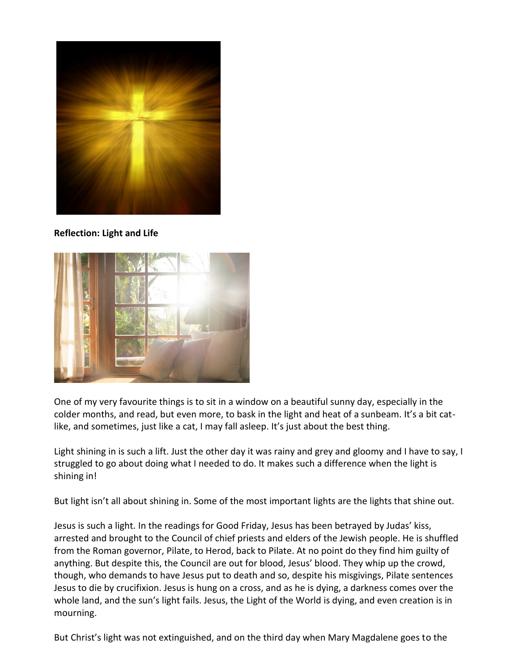

**Reflection: Light and Life**



One of my very favourite things is to sit in a window on a beautiful sunny day, especially in the colder months, and read, but even more, to bask in the light and heat of a sunbeam. It's a bit catlike, and sometimes, just like a cat, I may fall asleep. It's just about the best thing.

Light shining in is such a lift. Just the other day it was rainy and grey and gloomy and I have to say, I struggled to go about doing what I needed to do. It makes such a difference when the light is shining in!

But light isn't all about shining in. Some of the most important lights are the lights that shine out.

Jesus is such a light. In the readings for Good Friday, Jesus has been betrayed by Judas' kiss, arrested and brought to the Council of chief priests and elders of the Jewish people. He is shuffled from the Roman governor, Pilate, to Herod, back to Pilate. At no point do they find him guilty of anything. But despite this, the Council are out for blood, Jesus' blood. They whip up the crowd, though, who demands to have Jesus put to death and so, despite his misgivings, Pilate sentences Jesus to die by crucifixion. Jesus is hung on a cross, and as he is dying, a darkness comes over the whole land, and the sun's light fails. Jesus, the Light of the World is dying, and even creation is in mourning.

But Christ's light was not extinguished, and on the third day when Mary Magdalene goes to the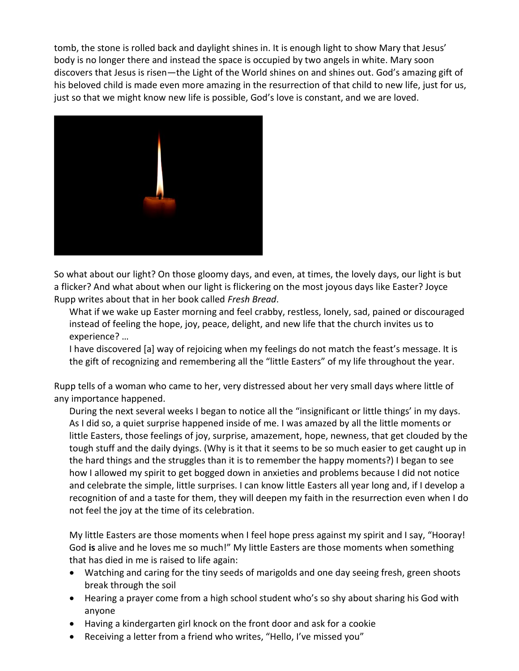tomb, the stone is rolled back and daylight shines in. It is enough light to show Mary that Jesus' body is no longer there and instead the space is occupied by two angels in white. Mary soon discovers that Jesus is risen—the Light of the World shines on and shines out. God's amazing gift of his beloved child is made even more amazing in the resurrection of that child to new life, just for us, just so that we might know new life is possible, God's love is constant, and we are loved.



So what about our light? On those gloomy days, and even, at times, the lovely days, our light is but a flicker? And what about when our light is flickering on the most joyous days like Easter? Joyce Rupp writes about that in her book called *Fresh Bread*.

What if we wake up Easter morning and feel crabby, restless, lonely, sad, pained or discouraged instead of feeling the hope, joy, peace, delight, and new life that the church invites us to experience? …

I have discovered [a] way of rejoicing when my feelings do not match the feast's message. It is the gift of recognizing and remembering all the "little Easters" of my life throughout the year.

Rupp tells of a woman who came to her, very distressed about her very small days where little of any importance happened.

During the next several weeks I began to notice all the "insignificant or little things' in my days. As I did so, a quiet surprise happened inside of me. I was amazed by all the little moments or little Easters, those feelings of joy, surprise, amazement, hope, newness, that get clouded by the tough stuff and the daily dyings. (Why is it that it seems to be so much easier to get caught up in the hard things and the struggles than it is to remember the happy moments?) I began to see how I allowed my spirit to get bogged down in anxieties and problems because I did not notice and celebrate the simple, little surprises. I can know little Easters all year long and, if I develop a recognition of and a taste for them, they will deepen my faith in the resurrection even when I do not feel the joy at the time of its celebration.

My little Easters are those moments when I feel hope press against my spirit and I say, "Hooray! God **is** alive and he loves me so much!" My little Easters are those moments when something that has died in me is raised to life again:

- Watching and caring for the tiny seeds of marigolds and one day seeing fresh, green shoots break through the soil
- Hearing a prayer come from a high school student who's so shy about sharing his God with anyone
- Having a kindergarten girl knock on the front door and ask for a cookie
- Receiving a letter from a friend who writes, "Hello, I've missed you"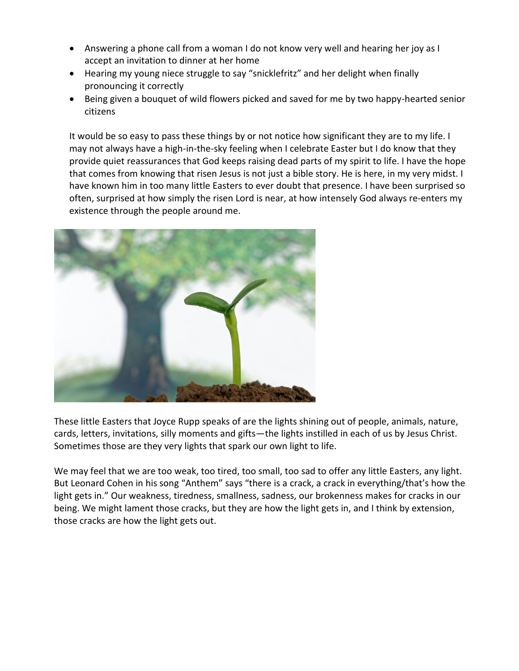- Answering a phone call from a woman I do not know very well and hearing her joy as I accept an invitation to dinner at her home
- Hearing my young niece struggle to say "snicklefritz" and her delight when finally pronouncing it correctly
- Being given a bouquet of wild flowers picked and saved for me by two happy-hearted senior citizens

It would be so easy to pass these things by or not notice how significant they are to my life. I may not always have a high-in-the-sky feeling when I celebrate Easter but I do know that they provide quiet reassurances that God keeps raising dead parts of my spirit to life. I have the hope that comes from knowing that risen Jesus is not just a bible story. He is here, in my very midst. I have known him in too many little Easters to ever doubt that presence. I have been surprised so often, surprised at how simply the risen Lord is near, at how intensely God always re-enters my existence through the people around me.



These little Easters that Joyce Rupp speaks of are the lights shining out of people, animals, nature, cards, letters, invitations, silly moments and gifts—the lights instilled in each of us by Jesus Christ. Sometimes those are they very lights that spark our own light to life.

We may feel that we are too weak, too tired, too small, too sad to offer any little Easters, any light. But Leonard Cohen in his song "Anthem" says "there is a crack, a crack in everything/that's how the light gets in." Our weakness, tiredness, smallness, sadness, our brokenness makes for cracks in our being. We might lament those cracks, but they are how the light gets in, and I think by extension, those cracks are how the light gets out.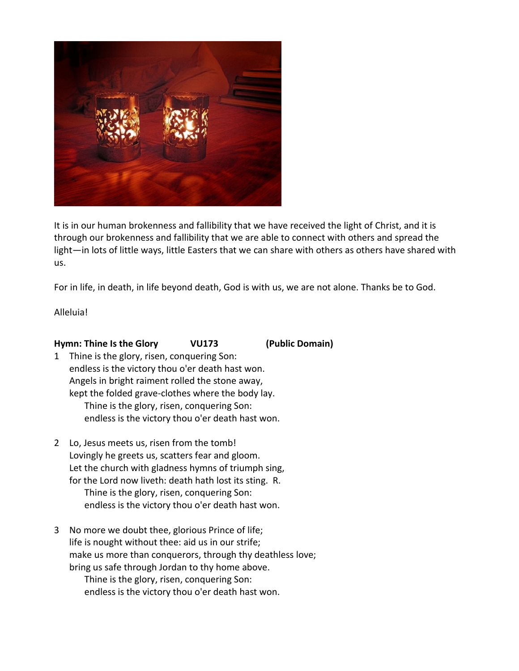

It is in our human brokenness and fallibility that we have received the light of Christ, and it is through our brokenness and fallibility that we are able to connect with others and spread the light—in lots of little ways, little Easters that we can share with others as others have shared with us.

For in life, in death, in life beyond death, God is with us, we are not alone. Thanks be to God.

Alleluia!

# **Hymn: Thine Is the Glory VU173 (Public Domain)**

- 1 Thine is the glory, risen, conquering Son: endless is the victory thou o'er death hast won. Angels in bright raiment rolled the stone away, kept the folded grave-clothes where the body lay. Thine is the glory, risen, conquering Son: endless is the victory thou o'er death hast won.
- 2 Lo, Jesus meets us, risen from the tomb! Lovingly he greets us, scatters fear and gloom. Let the church with gladness hymns of triumph sing, for the Lord now liveth: death hath lost its sting. R. Thine is the glory, risen, conquering Son: endless is the victory thou o'er death hast won.
- 3 No more we doubt thee, glorious Prince of life; life is nought without thee: aid us in our strife; make us more than conquerors, through thy deathless love; bring us safe through Jordan to thy home above. Thine is the glory, risen, conquering Son: endless is the victory thou o'er death hast won.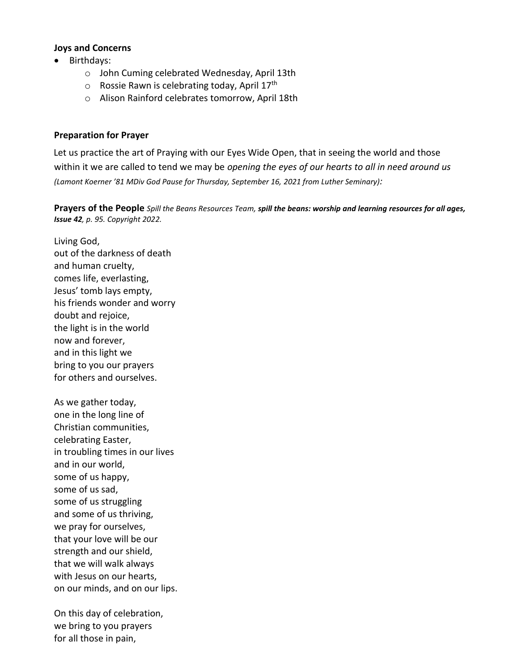## **Joys and Concerns**

- Birthdays:
	- o John Cuming celebrated Wednesday, April 13th
	- $\circ$  Rossie Rawn is celebrating today, April 17<sup>th</sup>
	- o Alison Rainford celebrates tomorrow, April 18th

## **Preparation for Prayer**

Let us practice the art of Praying with our Eyes Wide Open, that in seeing the world and those within it we are called to tend we may be *opening the eyes of our hearts to all in need around us (Lamont Koerner '81 MDiv God Pause for Thursday, September 16, 2021 from Luther Seminary):*

**Prayers of the People** *Spill the Beans Resources Team, spill the beans: worship and learning resources for all ages, Issue 42, p. 95. Copyright 2022.*

Living God, out of the darkness of death and human cruelty, comes life, everlasting, Jesus' tomb lays empty, his friends wonder and worry doubt and rejoice, the light is in the world now and forever, and in this light we bring to you our prayers for others and ourselves.

As we gather today, one in the long line of Christian communities, celebrating Easter, in troubling times in our lives and in our world, some of us happy, some of us sad, some of us struggling and some of us thriving, we pray for ourselves, that your love will be our strength and our shield, that we will walk always with Jesus on our hearts, on our minds, and on our lips.

On this day of celebration, we bring to you prayers for all those in pain,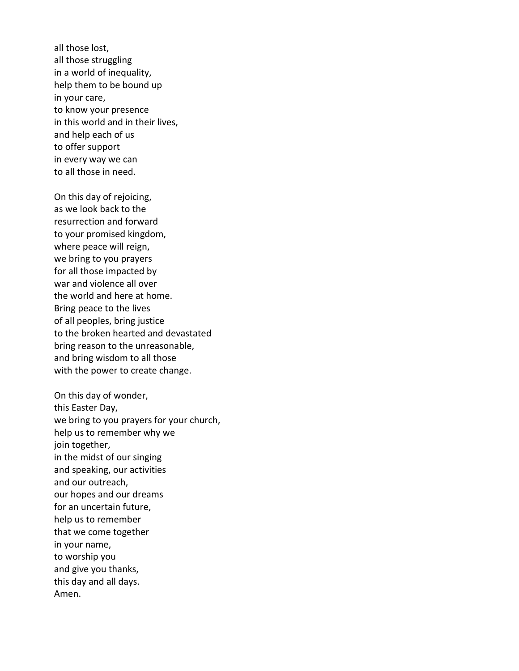all those lost, all those struggling in a world of inequality, help them to be bound up in your care, to know your presence in this world and in their lives, and help each of us to offer support in every way we can to all those in need.

On this day of rejoicing, as we look back to the resurrection and forward to your promised kingdom, where peace will reign, we bring to you prayers for all those impacted by war and violence all over the world and here at home. Bring peace to the lives of all peoples, bring justice to the broken hearted and devastated bring reason to the unreasonable, and bring wisdom to all those with the power to create change.

On this day of wonder, this Easter Day, we bring to you prayers for your church, help us to remember why we join together, in the midst of our singing and speaking, our activities and our outreach, our hopes and our dreams for an uncertain future, help us to remember that we come together in your name, to worship you and give you thanks, this day and all days. Amen.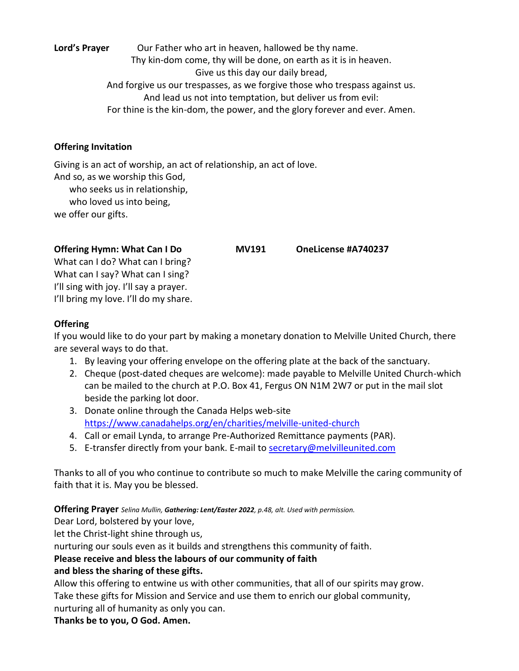Lord's Prayer **Our Father who art in heaven, hallowed be thy name.** Thy kin-dom come, thy will be done, on earth as it is in heaven. Give us this day our daily bread, And forgive us our trespasses, as we forgive those who trespass against us. And lead us not into temptation, but deliver us from evil: For thine is the kin-dom, the power, and the glory forever and ever. Amen.

# **Offering Invitation**

Giving is an act of worship, an act of relationship, an act of love. And so, as we worship this God, who seeks us in relationship, who loved us into being, we offer our gifts.

# **Offering Hymn: What Can I Do MV191 OneLicense #A740237**

What can I do? What can I bring? What can I say? What can I sing? I'll sing with joy. I'll say a prayer. I'll bring my love. I'll do my share.

# **Offering**

If you would like to do your part by making a monetary donation to Melville United Church, there are several ways to do that.

- 1. By leaving your offering envelope on the offering plate at the back of the sanctuary.
- 2. Cheque (post-dated cheques are welcome): made payable to Melville United Church-which can be mailed to the church at P.O. Box 41, Fergus ON N1M 2W7 or put in the mail slot beside the parking lot door.
- 3. Donate online through the Canada Helps web-site <https://www.canadahelps.org/en/charities/melville-united-church>
- 4. Call or email Lynda, to arrange Pre-Authorized Remittance payments (PAR).
- 5. E-transfer directly from your bank. E-mail to **secretary@melvilleunited.com**

Thanks to all of you who continue to contribute so much to make Melville the caring community of faith that it is. May you be blessed.

**Offering Prayer** *Selina Mullin, Gathering: Lent/Easter 2022, p.48, alt. Used with permission.*

Dear Lord, bolstered by your love,

let the Christ-light shine through us,

nurturing our souls even as it builds and strengthens this community of faith.

# **Please receive and bless the labours of our community of faith**

# **and bless the sharing of these gifts.**

Allow this offering to entwine us with other communities, that all of our spirits may grow. Take these gifts for Mission and Service and use them to enrich our global community,

nurturing all of humanity as only you can.

**Thanks be to you, O God. Amen.**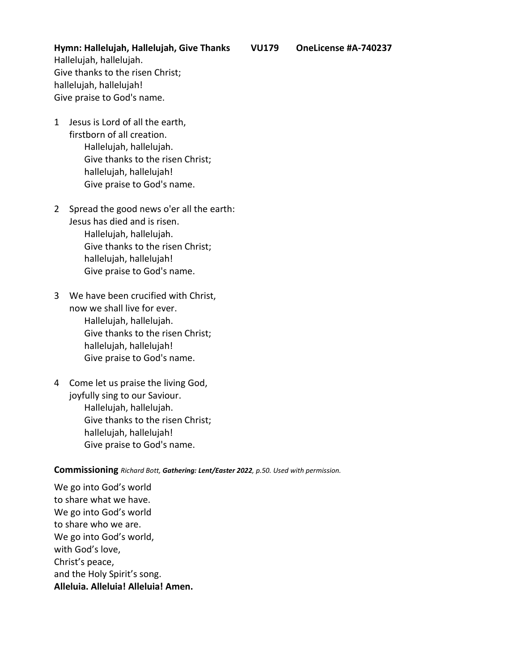**Hymn: Hallelujah, Hallelujah, Give Thanks VU179 OneLicense #A-740237** Hallelujah, hallelujah. Give thanks to the risen Christ; hallelujah, hallelujah! Give praise to God's name.

- 1 Jesus is Lord of all the earth, firstborn of all creation. Hallelujah, hallelujah. Give thanks to the risen Christ; hallelujah, hallelujah! Give praise to God's name.
- 2 Spread the good news o'er all the earth: Jesus has died and is risen. Hallelujah, hallelujah. Give thanks to the risen Christ; hallelujah, hallelujah! Give praise to God's name.
- 3 We have been crucified with Christ, now we shall live for ever. Hallelujah, hallelujah. Give thanks to the risen Christ; hallelujah, hallelujah! Give praise to God's name.
- 4 Come let us praise the living God, joyfully sing to our Saviour. Hallelujah, hallelujah. Give thanks to the risen Christ; hallelujah, hallelujah! Give praise to God's name.

#### **Commissioning** *Richard Bott, Gathering: Lent/Easter 2022, p.50. Used with permission.*

We go into God's world to share what we have. We go into God's world to share who we are. We go into God's world, with God's love, Christ's peace, and the Holy Spirit's song. **Alleluia. Alleluia! Alleluia! Amen.**